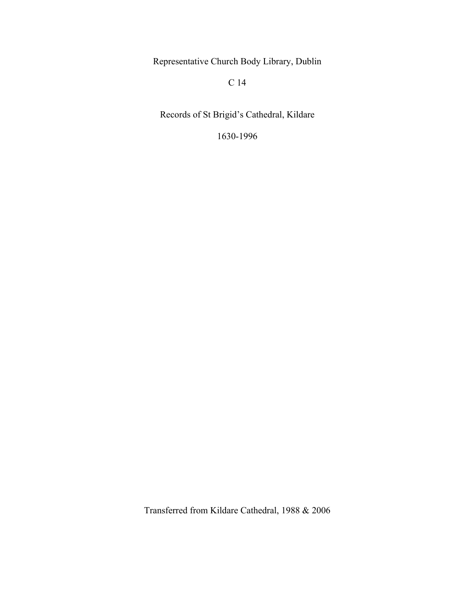Representative Church Body Library, Dublin

## C 14

Records of St Brigid's Cathedral, Kildare

1630-1996

Transferred from Kildare Cathedral, 1988 & 2006